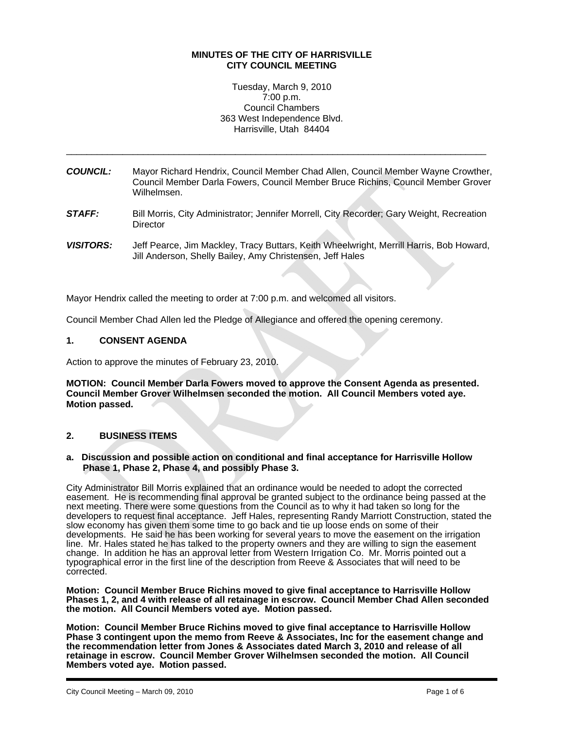## **MINUTES OF THE CITY OF HARRISVILLE CITY COUNCIL MEETING**

Tuesday, March 9, 2010 7:00 p.m. Council Chambers 363 West Independence Blvd. Harrisville, Utah 84404

*COUNCIL:* Mayor Richard Hendrix, Council Member Chad Allen, Council Member Wayne Crowther, Council Member Darla Fowers, Council Member Bruce Richins, Council Member Grover Wilhelmsen.

\_\_\_\_\_\_\_\_\_\_\_\_\_\_\_\_\_\_\_\_\_\_\_\_\_\_\_\_\_\_\_\_\_\_\_\_\_\_\_\_\_\_\_\_\_\_\_\_\_\_\_\_\_\_\_\_\_\_\_\_\_\_\_\_\_\_\_\_\_\_\_\_\_\_\_\_\_\_\_\_\_\_

- *STAFF:* Bill Morris, City Administrator; Jennifer Morrell, City Recorder; Gary Weight, Recreation **Director**
- *VISITORS:* Jeff Pearce, Jim Mackley, Tracy Buttars, Keith Wheelwright, Merrill Harris, Bob Howard, Jill Anderson, Shelly Bailey, Amy Christensen, Jeff Hales

Mayor Hendrix called the meeting to order at 7:00 p.m. and welcomed all visitors.

Council Member Chad Allen led the Pledge of Allegiance and offered the opening ceremony.

#### **1. CONSENT AGENDA**

Action to approve the minutes of February 23, 2010.

**MOTION: Council Member Darla Fowers moved to approve the Consent Agenda as presented. Council Member Grover Wilhelmsen seconded the motion. All Council Members voted aye. Motion passed.** 

# **2. BUSINESS ITEMS**

#### **a. Discussion and possible action on conditional and final acceptance for Harrisville Hollow Phase 1, Phase 2, Phase 4, and possibly Phase 3.**

City Administrator Bill Morris explained that an ordinance would be needed to adopt the corrected easement. He is recommending final approval be granted subject to the ordinance being passed at the next meeting. There were some questions from the Council as to why it had taken so long for the developers to request final acceptance. Jeff Hales, representing Randy Marriott Construction, stated the slow economy has given them some time to go back and tie up loose ends on some of their developments. He said he has been working for several years to move the easement on the irrigation line. Mr. Hales stated he has talked to the property owners and they are willing to sign the easement change. In addition he has an approval letter from Western Irrigation Co. Mr. Morris pointed out a typographical error in the first line of the description from Reeve & Associates that will need to be corrected.

**Motion: Council Member Bruce Richins moved to give final acceptance to Harrisville Hollow Phases 1, 2, and 4 with release of all retainage in escrow. Council Member Chad Allen seconded the motion. All Council Members voted aye. Motion passed.** 

**Motion: Council Member Bruce Richins moved to give final acceptance to Harrisville Hollow Phase 3 contingent upon the memo from Reeve & Associates, Inc for the easement change and the recommendation letter from Jones & Associates dated March 3, 2010 and release of all retainage in escrow. Council Member Grover Wilhelmsen seconded the motion. All Council Members voted aye. Motion passed.**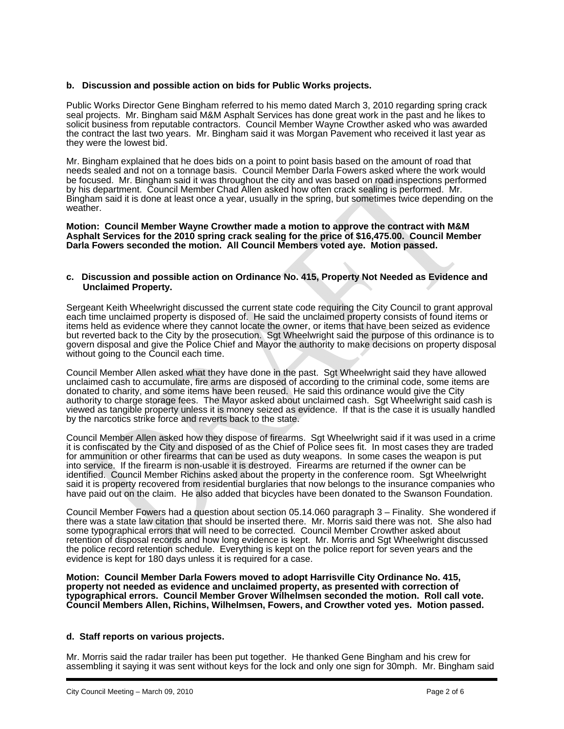## **b. Discussion and possible action on bids for Public Works projects.**

Public Works Director Gene Bingham referred to his memo dated March 3, 2010 regarding spring crack seal projects. Mr. Bingham said M&M Asphalt Services has done great work in the past and he likes to solicit business from reputable contractors. Council Member Wayne Crowther asked who was awarded the contract the last two years. Mr. Bingham said it was Morgan Pavement who received it last year as they were the lowest bid.

Mr. Bingham explained that he does bids on a point to point basis based on the amount of road that needs sealed and not on a tonnage basis. Council Member Darla Fowers asked where the work would be focused. Mr. Bingham said it was throughout the city and was based on road inspections performed by his department. Council Member Chad Allen asked how often crack sealing is performed. Mr. Bingham said it is done at least once a year, usually in the spring, but sometimes twice depending on the weather.

**Motion: Council Member Wayne Crowther made a motion to approve the contract with M&M Asphalt Services for the 2010 spring crack sealing for the price of \$16,475.00. Council Member Darla Fowers seconded the motion. All Council Members voted aye. Motion passed.** 

#### **c. Discussion and possible action on Ordinance No. 415, Property Not Needed as Evidence and Unclaimed Property.**

Sergeant Keith Wheelwright discussed the current state code requiring the City Council to grant approval each time unclaimed property is disposed of. He said the unclaimed property consists of found items or items held as evidence where they cannot locate the owner, or items that have been seized as evidence but reverted back to the City by the prosecution. Sgt Wheelwright said the purpose of this ordinance is to govern disposal and give the Police Chief and Mayor the authority to make decisions on property disposal without going to the Council each time.

Council Member Allen asked what they have done in the past. Sgt Wheelwright said they have allowed unclaimed cash to accumulate, fire arms are disposed of according to the criminal code, some items are donated to charity, and some items have been reused. He said this ordinance would give the City authority to charge storage fees. The Mayor asked about unclaimed cash. Sgt Wheelwright said cash is viewed as tangible property unless it is money seized as evidence. If that is the case it is usually handled by the narcotics strike force and reverts back to the state.

Council Member Allen asked how they dispose of firearms. Sgt Wheelwright said if it was used in a crime it is confiscated by the City and disposed of as the Chief of Police sees fit. In most cases they are traded for ammunition or other firearms that can be used as duty weapons. In some cases the weapon is put into service. If the firearm is non-usable it is destroyed. Firearms are returned if the owner can be identified. Council Member Richins asked about the property in the conference room. Sgt Wheelwright said it is property recovered from residential burglaries that now belongs to the insurance companies who have paid out on the claim. He also added that bicycles have been donated to the Swanson Foundation.

Council Member Fowers had a question about section 05.14.060 paragraph 3 – Finality. She wondered if there was a state law citation that should be inserted there. Mr. Morris said there was not. She also had some typographical errors that will need to be corrected. Council Member Crowther asked about retention of disposal records and how long evidence is kept. Mr. Morris and Sgt Wheelwright discussed the police record retention schedule. Everything is kept on the police report for seven years and the evidence is kept for 180 days unless it is required for a case.

**Motion: Council Member Darla Fowers moved to adopt Harrisville City Ordinance No. 415, property not needed as evidence and unclaimed property, as presented with correction of typographical errors. Council Member Grover Wilhelmsen seconded the motion. Roll call vote. Council Members Allen, Richins, Wilhelmsen, Fowers, and Crowther voted yes. Motion passed.** 

### **d. Staff reports on various projects.**

Mr. Morris said the radar trailer has been put together. He thanked Gene Bingham and his crew for assembling it saying it was sent without keys for the lock and only one sign for 30mph. Mr. Bingham said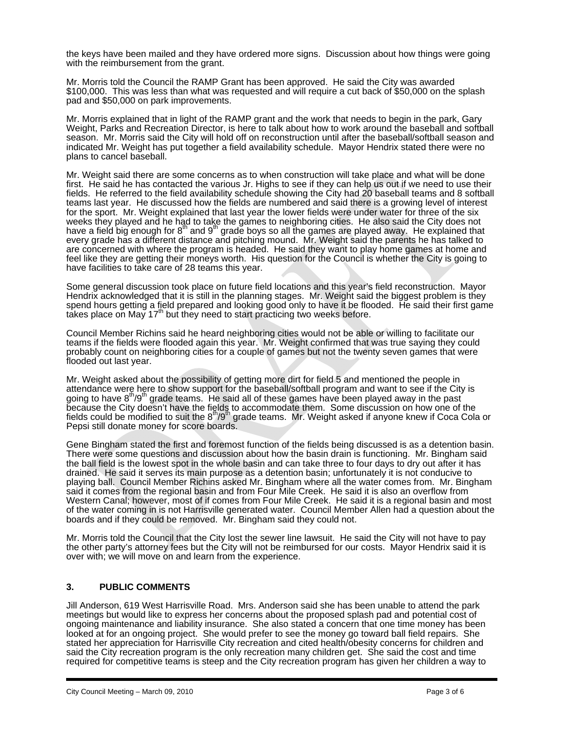the keys have been mailed and they have ordered more signs. Discussion about how things were going with the reimbursement from the grant.

Mr. Morris told the Council the RAMP Grant has been approved. He said the City was awarded \$100,000. This was less than what was requested and will require a cut back of \$50,000 on the splash pad and \$50,000 on park improvements.

Mr. Morris explained that in light of the RAMP grant and the work that needs to begin in the park, Gary Weight, Parks and Recreation Director, is here to talk about how to work around the baseball and softball season. Mr. Morris said the City will hold off on reconstruction until after the baseball/softball season and indicated Mr. Weight has put together a field availability schedule. Mayor Hendrix stated there were no plans to cancel baseball.

Mr. Weight said there are some concerns as to when construction will take place and what will be done first. He said he has contacted the various Jr. Highs to see if they can help us out if we need to use their fields. He referred to the field availability schedule showing the City had 20 baseball teams and 8 softball teams last year. He discussed how the fields are numbered and said there is a growing level of interest for the sport. Mr. Weight explained that last year the lower fields were under water for three of the six weeks they played and he had to take the games to neighboring cities. He also said the City does not<br>have a field big enough for 8<sup>th</sup> and 9<sup>th</sup> grade boys so all the games are played away. He explained that every grade has a different distance and pitching mound. Mr. Weight said the parents he has talked to are concerned with where the program is headed. He said they want to play home games at home and feel like they are getting their moneys worth. His question for the Council is whether the City is going to have facilities to take care of 28 teams this year.

Some general discussion took place on future field locations and this year's field reconstruction. Mayor Hendrix acknowledged that it is still in the planning stages. Mr. Weight said the biggest problem is they spend hours getting a field prepared and looking good only to have it be flooded. He said their first game takes place on May 17<sup>th</sup> but they need to start practicing two weeks before.

Council Member Richins said he heard neighboring cities would not be able or willing to facilitate our teams if the fields were flooded again this year. Mr. Weight confirmed that was true saying they could probably count on neighboring cities for a couple of games but not the twenty seven games that were flooded out last year.

Mr. Weight asked about the possibility of getting more dirt for field 5 and mentioned the people in attendance were here to show support for the baseball/softball program and want to see if the City is going to have  $8<sup>th</sup>/9<sup>th</sup>$  grade teams. He said all of these games have been played away in the past because the City doesn't have the fields to accommodate them. Some discussion on how one of the<br>fields could be modified to suit the 8<sup>th</sup>/9<sup>th</sup> grade teams. Mr. Weight asked if anyone knew if Coca Cola or Pepsi still donate money for score boards.

Gene Bingham stated the first and foremost function of the fields being discussed is as a detention basin. There were some questions and discussion about how the basin drain is functioning. Mr. Bingham said the ball field is the lowest spot in the whole basin and can take three to four days to dry out after it has drained. He said it serves its main purpose as a detention basin; unfortunately it is not conducive to playing ball. Council Member Richins asked Mr. Bingham where all the water comes from. Mr. Bingham said it comes from the regional basin and from Four Mile Creek. He said it is also an overflow from Western Canal; however, most of if comes from Four Mile Creek. He said it is a regional basin and most of the water coming in is not Harrisville generated water. Council Member Allen had a question about the boards and if they could be removed. Mr. Bingham said they could not.

Mr. Morris told the Council that the City lost the sewer line lawsuit. He said the City will not have to pay the other party's attorney fees but the City will not be reimbursed for our costs. Mayor Hendrix said it is over with; we will move on and learn from the experience.

# **3. PUBLIC COMMENTS**

Jill Anderson, 619 West Harrisville Road. Mrs. Anderson said she has been unable to attend the park meetings but would like to express her concerns about the proposed splash pad and potential cost of ongoing maintenance and liability insurance. She also stated a concern that one time money has been looked at for an ongoing project. She would prefer to see the money go toward ball field repairs. She stated her appreciation for Harrisville City recreation and cited health/obesity concerns for children and said the City recreation program is the only recreation many children get. She said the cost and time required for competitive teams is steep and the City recreation program has given her children a way to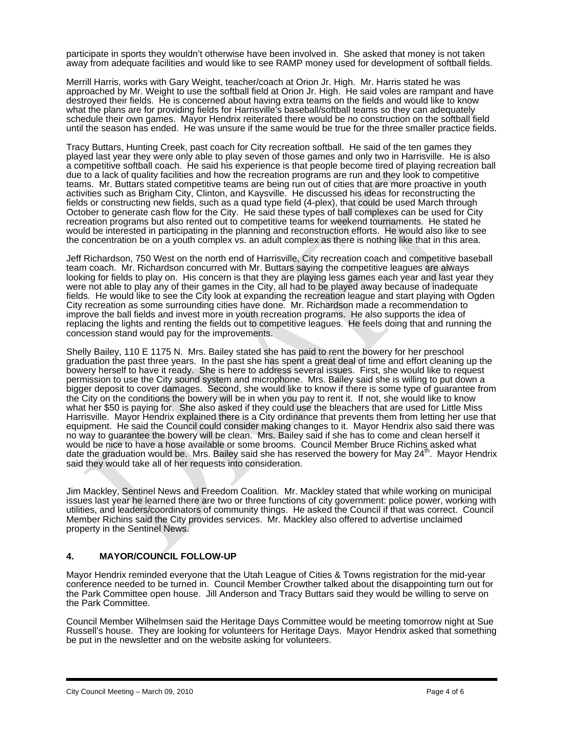participate in sports they wouldn't otherwise have been involved in. She asked that money is not taken away from adequate facilities and would like to see RAMP money used for development of softball fields.

Merrill Harris, works with Gary Weight, teacher/coach at Orion Jr. High. Mr. Harris stated he was approached by Mr. Weight to use the softball field at Orion Jr. High. He said voles are rampant and have destroyed their fields. He is concerned about having extra teams on the fields and would like to know what the plans are for providing fields for Harrisville's baseball/softball teams so they can adequately schedule their own games. Mayor Hendrix reiterated there would be no construction on the softball field until the season has ended. He was unsure if the same would be true for the three smaller practice fields.

Tracy Buttars, Hunting Creek, past coach for City recreation softball. He said of the ten games they played last year they were only able to play seven of those games and only two in Harrisville. He is also a competitive softball coach. He said his experience is that people become tired of playing recreation ball due to a lack of quality facilities and how the recreation programs are run and they look to competitive teams. Mr. Buttars stated competitive teams are being run out of cities that are more proactive in youth activities such as Brigham City, Clinton, and Kaysville. He discussed his ideas for reconstructing the fields or constructing new fields, such as a quad type field (4-plex), that could be used March through October to generate cash flow for the City. He said these types of ball complexes can be used for City recreation programs but also rented out to competitive teams for weekend tournaments. He stated he would be interested in participating in the planning and reconstruction efforts. He would also like to see the concentration be on a youth complex vs. an adult complex as there is nothing like that in this area.

Jeff Richardson, 750 West on the north end of Harrisville, City recreation coach and competitive baseball team coach. Mr. Richardson concurred with Mr. Buttars saying the competitive leagues are always looking for fields to play on. His concern is that they are playing less games each year and last year they were not able to play any of their games in the City, all had to be played away because of inadequate fields. He would like to see the City look at expanding the recreation league and start playing with Ogden City recreation as some surrounding cities have done. Mr. Richardson made a recommendation to improve the ball fields and invest more in youth recreation programs. He also supports the idea of replacing the lights and renting the fields out to competitive leagues. He feels doing that and running the concession stand would pay for the improvements.

Shelly Bailey, 110 E 1175 N. Mrs. Bailey stated she has paid to rent the bowery for her preschool graduation the past three years. In the past she has spent a great deal of time and effort cleaning up the bowery herself to have it ready. She is here to address several issues. First, she would like to request permission to use the City sound system and microphone. Mrs. Bailey said she is willing to put down a bigger deposit to cover damages. Second, she would like to know if there is some type of guarantee from the City on the conditions the bowery will be in when you pay to rent it. If not, she would like to know what her \$50 is paying for. She also asked if they could use the bleachers that are used for Little Miss Harrisville. Mayor Hendrix explained there is a City ordinance that prevents them from letting her use that equipment. He said the Council could consider making changes to it. Mayor Hendrix also said there was no way to guarantee the bowery will be clean. Mrs. Bailey said if she has to come and clean herself it would be nice to have a hose available or some brooms. Council Member Bruce Richins asked what date the graduation would be. Mrs. Bailey said she has reserved the bowery for May  $24<sup>th</sup>$ . Mayor Hendrix said they would take all of her requests into consideration.

Jim Mackley, Sentinel News and Freedom Coalition. Mr. Mackley stated that while working on municipal issues last year he learned there are two or three functions of city government: police power, working with utilities, and leaders/coordinators of community things. He asked the Council if that was correct. Council Member Richins said the City provides services. Mr. Mackley also offered to advertise unclaimed property in the Sentinel News.

### **4. MAYOR/COUNCIL FOLLOW-UP**

Mayor Hendrix reminded everyone that the Utah League of Cities & Towns registration for the mid-year conference needed to be turned in. Council Member Crowther talked about the disappointing turn out for the Park Committee open house. Jill Anderson and Tracy Buttars said they would be willing to serve on the Park Committee.

Council Member Wilhelmsen said the Heritage Days Committee would be meeting tomorrow night at Sue Russell's house. They are looking for volunteers for Heritage Days. Mayor Hendrix asked that something be put in the newsletter and on the website asking for volunteers.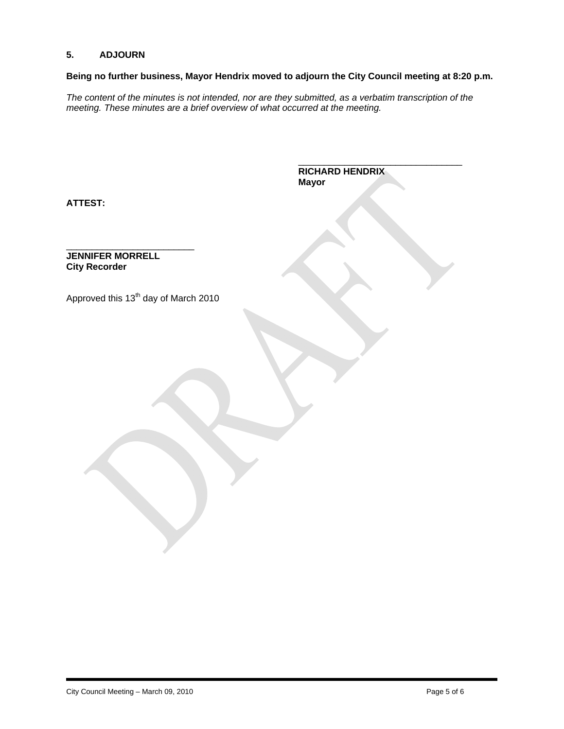# **5. ADJOURN**

# **Being no further business, Mayor Hendrix moved to adjourn the City Council meeting at 8:20 p.m.**

\_\_\_\_\_\_\_\_\_\_\_\_\_\_\_\_\_\_\_\_\_\_\_\_\_\_\_\_\_\_\_\_

*The content of the minutes is not intended, nor are they submitted, as a verbatim transcription of the meeting. These minutes are a brief overview of what occurred at the meeting.* 

|                                                  | <b>RICHARD HENDRIX</b><br><b>Mayor</b> |
|--------------------------------------------------|----------------------------------------|
| <b>ATTEST:</b>                                   |                                        |
| <b>JENNIFER MORRELL</b><br><b>City Recorder</b>  |                                        |
| Approved this 13 <sup>th</sup> day of March 2010 |                                        |
|                                                  |                                        |